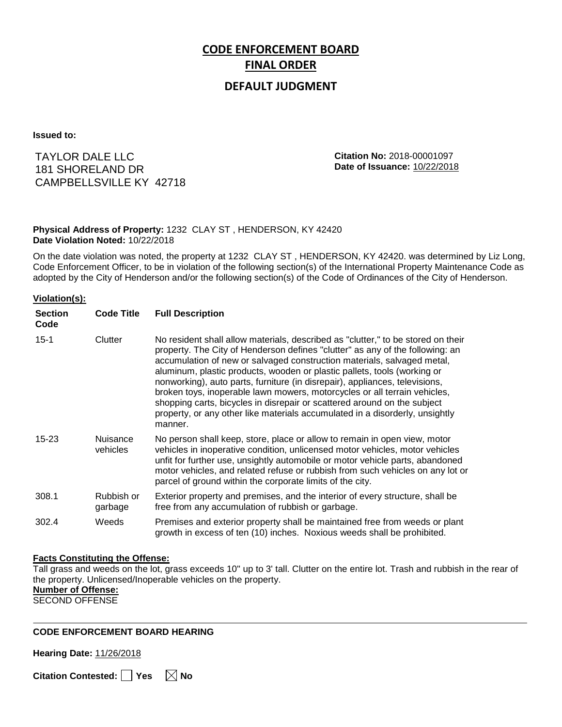# **CODE ENFORCEMENT BOARD FINAL ORDER**

### **DEFAULT JUDGMENT**

**Issued to:**

TAYLOR DALE LLC 181 SHORELAND DR CAMPBELLSVILLE KY 42718 **Citation No:** 2018-00001097 **Date of Issuance:** 10/22/2018

#### **Physical Address of Property:** 1232 CLAY ST , HENDERSON, KY 42420 **Date Violation Noted:** 10/22/2018

On the date violation was noted, the property at 1232 CLAY ST , HENDERSON, KY 42420. was determined by Liz Long, Code Enforcement Officer, to be in violation of the following section(s) of the International Property Maintenance Code as adopted by the City of Henderson and/or the following section(s) of the Code of Ordinances of the City of Henderson.

#### **Violation(s):**

| <b>Section</b><br>Code | <b>Code Title</b>           | <b>Full Description</b>                                                                                                                                                                                                                                                                                                                                                                                                                                                                                                                                                                                                                                     |
|------------------------|-----------------------------|-------------------------------------------------------------------------------------------------------------------------------------------------------------------------------------------------------------------------------------------------------------------------------------------------------------------------------------------------------------------------------------------------------------------------------------------------------------------------------------------------------------------------------------------------------------------------------------------------------------------------------------------------------------|
| $15 - 1$               | Clutter                     | No resident shall allow materials, described as "clutter," to be stored on their<br>property. The City of Henderson defines "clutter" as any of the following: an<br>accumulation of new or salvaged construction materials, salvaged metal,<br>aluminum, plastic products, wooden or plastic pallets, tools (working or<br>nonworking), auto parts, furniture (in disrepair), appliances, televisions,<br>broken toys, inoperable lawn mowers, motorcycles or all terrain vehicles,<br>shopping carts, bicycles in disrepair or scattered around on the subject<br>property, or any other like materials accumulated in a disorderly, unsightly<br>manner. |
| $15 - 23$              | <b>Nuisance</b><br>vehicles | No person shall keep, store, place or allow to remain in open view, motor<br>vehicles in inoperative condition, unlicensed motor vehicles, motor vehicles<br>unfit for further use, unsightly automobile or motor vehicle parts, abandoned<br>motor vehicles, and related refuse or rubbish from such vehicles on any lot or<br>parcel of ground within the corporate limits of the city.                                                                                                                                                                                                                                                                   |
| 308.1                  | Rubbish or<br>garbage       | Exterior property and premises, and the interior of every structure, shall be<br>free from any accumulation of rubbish or garbage.                                                                                                                                                                                                                                                                                                                                                                                                                                                                                                                          |
| 302.4                  | Weeds                       | Premises and exterior property shall be maintained free from weeds or plant<br>growth in excess of ten (10) inches. Noxious weeds shall be prohibited.                                                                                                                                                                                                                                                                                                                                                                                                                                                                                                      |

#### **Facts Constituting the Offense:**

Tall grass and weeds on the lot, grass exceeds 10'' up to 3' tall. Clutter on the entire lot. Trash and rubbish in the rear of the property. Unlicensed/Inoperable vehicles on the property.

**Number of Offense:**

SECOND OFFENSE

#### **CODE ENFORCEMENT BOARD HEARING**

**Hearing Date:** 11/26/2018

**Citation Contested:** Yes  $\boxtimes$  No